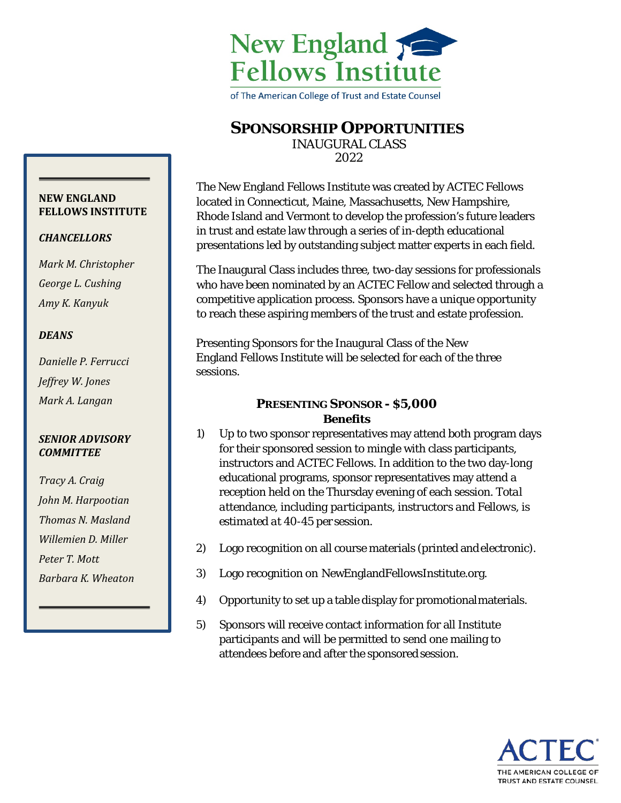

of The American College of Trust and Estate Counsel

# **SPONSORSHIP OPPORTUNITIES**

INAUGURAL CLASS

2022

The New England Fellows Institute was created by ACTEC Fellows located in Connecticut, Maine, Massachusetts, New Hampshire, Rhode Island and Vermont to develop the profession's future leaders in trust and estate law through a series of in-depth educational presentations led by outstanding subject matter experts in each field.

The Inaugural Class includes three, two-day sessions for professionals who have been nominated by an ACTEC Fellow and selected through a competitive application process. Sponsors have a unique opportunity to reach these aspiring members of the trust and estate profession.

Presenting Sponsors for the Inaugural Class of the New England Fellows Institute will be selected for each of the three sessions.

## **PRESENTING SPONSOR - \$5,000** *Benefits*

- *1)* Up to two sponsor representatives may attend both program days for their sponsored session to mingle with class participants, instructors and ACTEC Fellows. In addition to the two day-long educational programs, sponsor representatives may attend a reception held on the Thursday evening of each session. *Total attendance, including participants, instructors and Fellows, is estimated at 40-45 persession.*
- *2)* Logo recognition on all course materials (printed andelectronic).
- *3)* Logo recognition on NewEnglandFellowsInstitute.org.
- *4)* Opportunity to set up a table display for promotionalmaterials.
- *5)* Sponsors will receive contact information for all Institute participants and will be permitted to send one mailing to attendees before and after the sponsored session.



#### **NEW ENGLAND FELLOWS INSTITUTE**

## *CHANCELLORS*

*Mark M. Christopher George L. Cushing Amy K. Kanyuk*

## *DEANS*

*Danielle P. Ferrucci Jeffrey W. Jones Mark A. Langan*

### *SENIOR ADVISORY COMMITTEE*

*Tracy A. Craig John M. Harpootian Thomas N. Masland Willemien D. Miller Peter T. Mott Barbara K. Wheaton*